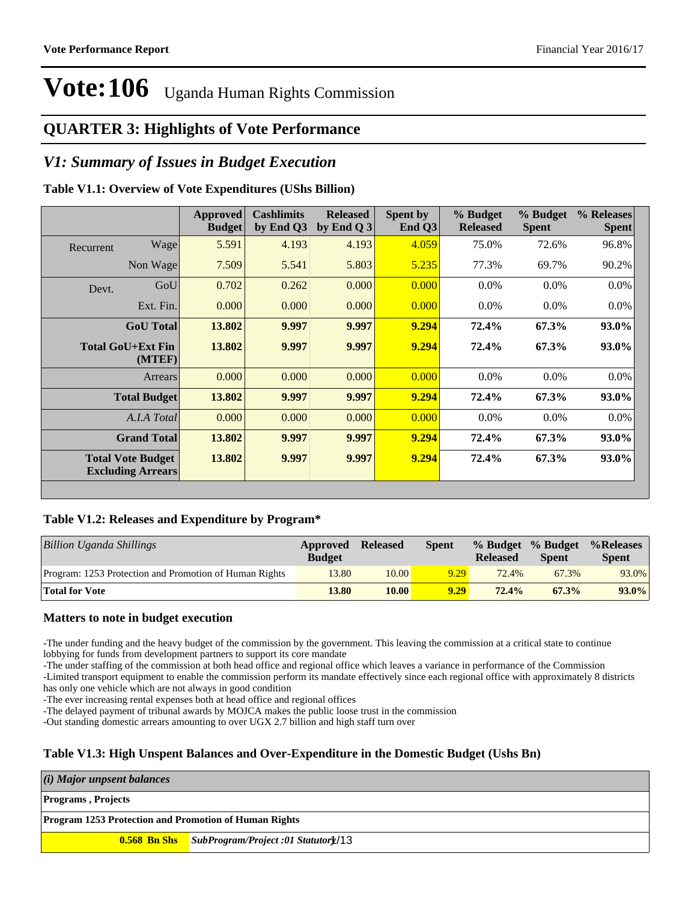### **QUARTER 3: Highlights of Vote Performance**

### *V1: Summary of Issues in Budget Execution*

#### **Table V1.1: Overview of Vote Expenditures (UShs Billion)**

|           |                                                      | <b>Approved</b><br><b>Budget</b> | <b>Cashlimits</b><br>by End Q3 | <b>Released</b><br>by End Q $3$ | Spent by<br>End $Q3$ | % Budget<br><b>Released</b> | % Budget<br><b>Spent</b> | % Releases<br><b>Spent</b> |
|-----------|------------------------------------------------------|----------------------------------|--------------------------------|---------------------------------|----------------------|-----------------------------|--------------------------|----------------------------|
| Recurrent | Wage                                                 | 5.591                            | 4.193                          | 4.193                           | 4.059                | 75.0%                       | 72.6%                    | 96.8%                      |
|           | Non Wage                                             | 7.509                            | 5.541                          | 5.803                           | 5.235                | 77.3%                       | 69.7%                    | 90.2%                      |
| Devt.     | GoU                                                  | 0.702                            | 0.262                          | 0.000                           | 0.000                | $0.0\%$                     | $0.0\%$                  | $0.0\%$                    |
|           | Ext. Fin.                                            | 0.000                            | 0.000                          | 0.000                           | 0.000                | $0.0\%$                     | $0.0\%$                  | $0.0\%$                    |
|           | <b>GoU</b> Total                                     | 13.802                           | 9.997                          | 9.997                           | 9.294                | 72.4%                       | 67.3%                    | 93.0%                      |
|           | <b>Total GoU+Ext Fin</b><br>(MTEF)                   | 13.802                           | 9.997                          | 9.997                           | 9.294                | 72.4%                       | 67.3%                    | 93.0%                      |
|           | Arrears                                              | 0.000                            | 0.000                          | 0.000                           | 0.000                | $0.0\%$                     | 0.0%                     | $0.0\%$                    |
|           | <b>Total Budget</b>                                  | 13.802                           | 9.997                          | 9.997                           | 9.294                | 72.4%                       | 67.3%                    | 93.0%                      |
|           | A.I.A Total                                          | 0.000                            | 0.000                          | 0.000                           | 0.000                | $0.0\%$                     | $0.0\%$                  | $0.0\%$                    |
|           | <b>Grand Total</b>                                   | 13.802                           | 9.997                          | 9.997                           | 9.294                | 72.4%                       | 67.3%                    | 93.0%                      |
|           | <b>Total Vote Budget</b><br><b>Excluding Arrears</b> | 13.802                           | 9.997                          | 9.997                           | 9.294                | 72.4%                       | 67.3%                    | 93.0%                      |

#### **Table V1.2: Releases and Expenditure by Program\***

| <b>Billion Uganda Shillings</b>                        | Approved<br><b>Budget</b> | <b>Released</b> | <b>Spent</b> | <b>Released</b> | % Budget % Budget<br><b>Spent</b> | %Releases<br><b>Spent</b> |
|--------------------------------------------------------|---------------------------|-----------------|--------------|-----------------|-----------------------------------|---------------------------|
| Program: 1253 Protection and Promotion of Human Rights | 13.80                     | 10.00           | 9.29         | 72.4%           | 67.3%                             | 93.0%                     |
| <b>Total for Vote</b>                                  | 13.80                     | 10.00           | 9.29         | 72.4%           | 67.3%                             | $93.0\%$                  |

#### **Matters to note in budget execution**

-The under funding and the heavy budget of the commission by the government. This leaving the commission at a critical state to continue lobbying for funds from development partners to support its core mandate

-The under staffing of the commission at both head office and regional office which leaves a variance in performance of the Commission -Limited transport equipment to enable the commission perform its mandate effectively since each regional office with approximately 8 districts has only one vehicle which are not always in good condition

-The ever increasing rental expenses both at head office and regional offices

-The delayed payment of tribunal awards by MOJCA makes the public loose trust in the commission

-Out standing domestic arrears amounting to over UGX 2.7 billion and high staff turn over

#### **Table V1.3: High Unspent Balances and Over-Expenditure in the Domestic Budget (Ushs Bn)**

*(i) Major unpsent balances* **Programs , Projects**

**Program 1253 Protection and Promotion of Human Rights**

**0.568 Bn Shs** *SubProgram/Project :01 Statutory* 1/13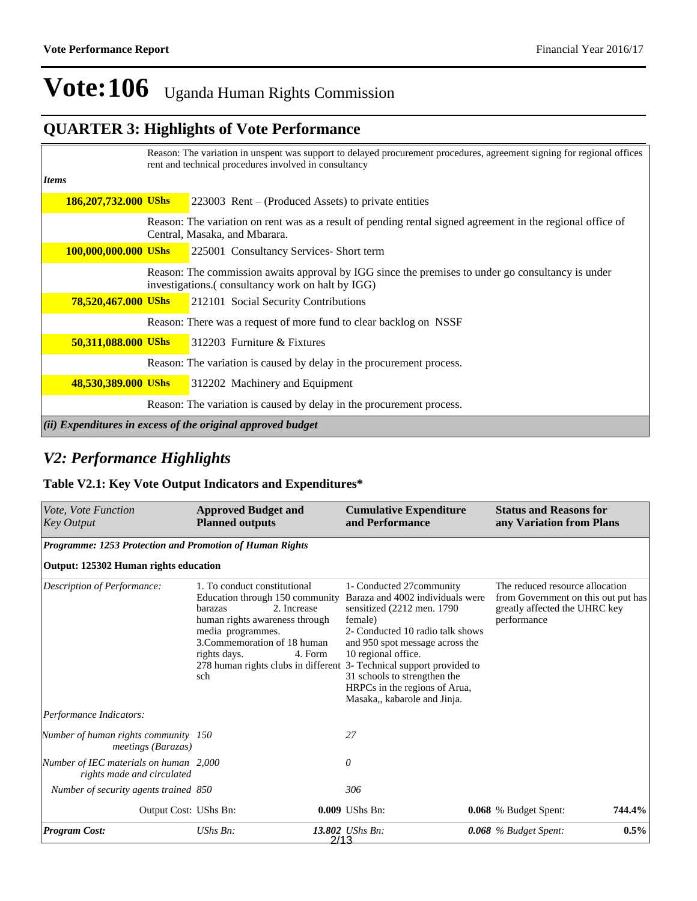## **QUARTER 3: Highlights of Vote Performance**

|                             | Reason: The variation in unspent was support to delayed procurement procedures, agreement signing for regional offices<br>rent and technical procedures involved in consultancy |                                                                                                                                                       |  |  |  |  |
|-----------------------------|---------------------------------------------------------------------------------------------------------------------------------------------------------------------------------|-------------------------------------------------------------------------------------------------------------------------------------------------------|--|--|--|--|
| Items                       |                                                                                                                                                                                 |                                                                                                                                                       |  |  |  |  |
| <b>186,207,732.000 UShs</b> |                                                                                                                                                                                 | $223003$ Rent – (Produced Assets) to private entities                                                                                                 |  |  |  |  |
|                             |                                                                                                                                                                                 | Reason: The variation on rent was as a result of pending rental signed agreement in the regional office of<br>Central, Masaka, and Mbarara.           |  |  |  |  |
| 100,000,000.000 UShs        |                                                                                                                                                                                 | 225001 Consultancy Services- Short term                                                                                                               |  |  |  |  |
|                             |                                                                                                                                                                                 | Reason: The commission awaits approval by IGG since the premises to under go consultancy is under<br>investigations.(consultancy work on halt by IGG) |  |  |  |  |
| <b>78,520,467.000 UShs</b>  |                                                                                                                                                                                 | 212101 Social Security Contributions                                                                                                                  |  |  |  |  |
|                             |                                                                                                                                                                                 | Reason: There was a request of more fund to clear backlog on NSSF                                                                                     |  |  |  |  |
| 50,311,088.000 UShs         |                                                                                                                                                                                 | $312203$ Furniture & Fixtures                                                                                                                         |  |  |  |  |
|                             |                                                                                                                                                                                 | Reason: The variation is caused by delay in the procurement process.                                                                                  |  |  |  |  |
| 48,530,389.000 UShs         |                                                                                                                                                                                 | 312202 Machinery and Equipment                                                                                                                        |  |  |  |  |
|                             |                                                                                                                                                                                 | Reason: The variation is caused by delay in the procurement process.                                                                                  |  |  |  |  |
|                             |                                                                                                                                                                                 | (ii) Expenditures in excess of the original approved budget                                                                                           |  |  |  |  |

### *V2: Performance Highlights*

#### **Table V2.1: Key Vote Output Indicators and Expenditures\***

| Vote, Vote Function<br><b>Key Output</b>                             | <b>Approved Budget and</b><br><b>Planned outputs</b>                                                                                                                                                                                                      | <b>Cumulative Expenditure</b><br>and Performance                                                                                                                                                                                                                                                                                           | <b>Status and Reasons for</b><br>any Variation from Plans                                                              |
|----------------------------------------------------------------------|-----------------------------------------------------------------------------------------------------------------------------------------------------------------------------------------------------------------------------------------------------------|--------------------------------------------------------------------------------------------------------------------------------------------------------------------------------------------------------------------------------------------------------------------------------------------------------------------------------------------|------------------------------------------------------------------------------------------------------------------------|
| Programme: 1253 Protection and Promotion of Human Rights             |                                                                                                                                                                                                                                                           |                                                                                                                                                                                                                                                                                                                                            |                                                                                                                        |
| Output: 125302 Human rights education                                |                                                                                                                                                                                                                                                           |                                                                                                                                                                                                                                                                                                                                            |                                                                                                                        |
| Description of Performance:                                          | 1. To conduct constitutional<br>Education through 150 community<br>2. Increase<br>barazas<br>human rights awareness through<br>media programmes.<br>3. Commemoration of 18 human<br>4. Form<br>rights days.<br>278 human rights clubs in different<br>sch | 1- Conducted 27 community<br>Baraza and 4002 individuals were<br>sensitized (2212 men. 1790)<br>female)<br>2- Conducted 10 radio talk shows<br>and 950 spot message across the<br>10 regional office.<br>3- Technical support provided to<br>31 schools to strengthen the<br>HRPCs in the regions of Arua,<br>Masaka,, kabarole and Jinja. | The reduced resource allocation<br>from Government on this out put has<br>greatly affected the UHRC key<br>performance |
| Performance Indicators:                                              |                                                                                                                                                                                                                                                           |                                                                                                                                                                                                                                                                                                                                            |                                                                                                                        |
| Number of human rights community 150<br>meetings (Barazas)           |                                                                                                                                                                                                                                                           | 27                                                                                                                                                                                                                                                                                                                                         |                                                                                                                        |
| Number of IEC materials on human 2,000<br>rights made and circulated |                                                                                                                                                                                                                                                           | 0                                                                                                                                                                                                                                                                                                                                          |                                                                                                                        |
| Number of security agents trained 850                                |                                                                                                                                                                                                                                                           | 306                                                                                                                                                                                                                                                                                                                                        |                                                                                                                        |
| Output Cost: UShs Bn:                                                |                                                                                                                                                                                                                                                           | 0.009 UShs Bn:                                                                                                                                                                                                                                                                                                                             | <b>0.068</b> % Budget Spent:<br>744.4%                                                                                 |
| <b>Program Cost:</b>                                                 | UShs Bn:                                                                                                                                                                                                                                                  | 13.802 UShs Bn:<br>2/13                                                                                                                                                                                                                                                                                                                    | $0.5\%$<br>0.068 % Budget Spent:                                                                                       |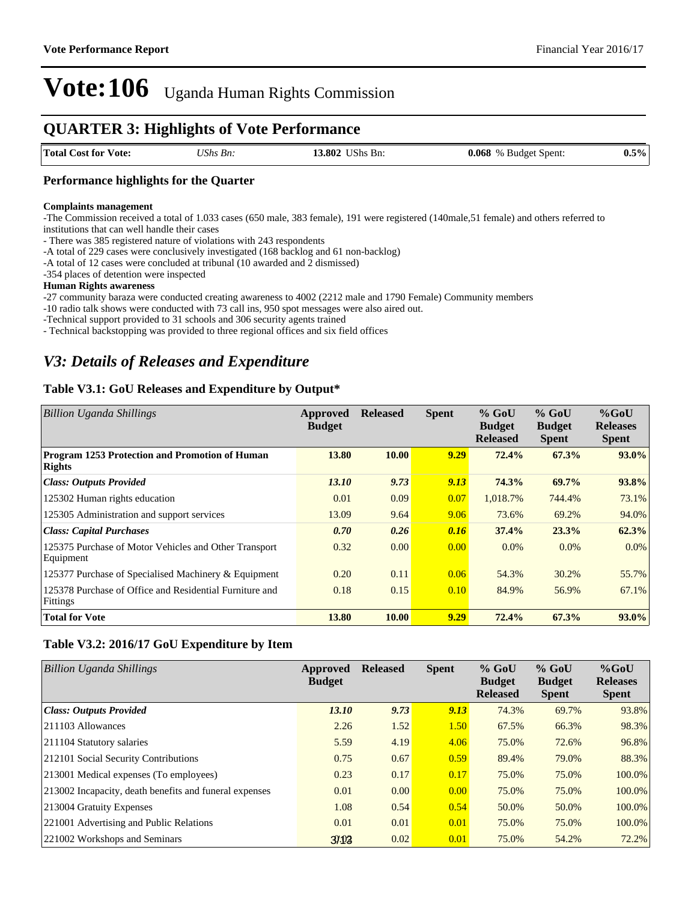### **QUARTER 3: Highlights of Vote Performance**

| <b>Total Cost for</b><br>Vote:<br>. | <b>17 CM</b><br>Βп.<br>/Nhs | 3.802<br>$'JShs$ .<br>-Bn: | 0.068<br><b>Budget Spent:</b><br>$\%$<br>$\sim$ $\sim$ $\sim$<br>. | 5%<br>U.S |
|-------------------------------------|-----------------------------|----------------------------|--------------------------------------------------------------------|-----------|
|                                     |                             |                            |                                                                    |           |

#### **Performance highlights for the Quarter**

#### **Complaints management**

-The Commission received a total of 1.033 cases (650 male, 383 female), 191 were registered (140male,51 female) and others referred to institutions that can well handle their cases

- There was 385 registered nature of violations with 243 respondents

-A total of 229 cases were conclusively investigated (168 backlog and 61 non-backlog)

-A total of 12 cases were concluded at tribunal (10 awarded and 2 dismissed)

-354 places of detention were inspected

#### **Human Rights awareness**

-27 community baraza were conducted creating awareness to 4002 (2212 male and 1790 Female) Community members

-10 radio talk shows were conducted with 73 call ins, 950 spot messages were also aired out.

-Technical support provided to 31 schools and 306 security agents trained

- Technical backstopping was provided to three regional offices and six field offices

### *V3: Details of Releases and Expenditure*

#### **Table V3.1: GoU Releases and Expenditure by Output\***

| Billion Uganda Shillings                                            | Approved<br><b>Budget</b> | <b>Released</b> | <b>Spent</b> | $%$ GoU<br><b>Budget</b><br><b>Released</b> | $%$ GoU<br><b>Budget</b><br><b>Spent</b> | $%$ GoU<br><b>Releases</b><br><b>Spent</b> |
|---------------------------------------------------------------------|---------------------------|-----------------|--------------|---------------------------------------------|------------------------------------------|--------------------------------------------|
| <b>Program 1253 Protection and Promotion of Human</b><br>Rights     | 13.80                     | <b>10.00</b>    | 9.29         | 72.4%                                       | 67.3%                                    | $93.0\%$                                   |
| <b>Class: Outputs Provided</b>                                      | 13.10                     | 9.73            | 9.13         | 74.3%                                       | 69.7%                                    | 93.8%                                      |
| 125302 Human rights education                                       | 0.01                      | 0.09            | 0.07         | 1,018.7%                                    | 744.4%                                   | 73.1%                                      |
| 125305 Administration and support services                          | 13.09                     | 9.64            | 9.06         | 73.6%                                       | 69.2%                                    | 94.0%                                      |
| <b>Class: Capital Purchases</b>                                     | 0.70                      | 0.26            | 0.16         | 37.4%                                       | 23.3%                                    | 62.3%                                      |
| 125375 Purchase of Motor Vehicles and Other Transport<br>Equipment  | 0.32                      | 0.00            | 0.00         | $0.0\%$                                     | $0.0\%$                                  | $0.0\%$                                    |
| 125377 Purchase of Specialised Machinery & Equipment                | 0.20                      | 0.11            | 0.06         | 54.3%                                       | 30.2%                                    | 55.7%                                      |
| 125378 Purchase of Office and Residential Furniture and<br>Fittings | 0.18                      | 0.15            | 0.10         | 84.9%                                       | 56.9%                                    | 67.1%                                      |
| <b>Total for Vote</b>                                               | 13.80                     | 10.00           | 9.29         | 72.4%                                       | 67.3%                                    | $93.0\%$                                   |

#### **Table V3.2: 2016/17 GoU Expenditure by Item**

| Billion Uganda Shillings                                 | Approved<br><b>Budget</b> | <b>Released</b> | <b>Spent</b> | $%$ GoU<br><b>Budget</b><br><b>Released</b> | $%$ GoU<br><b>Budget</b><br><b>Spent</b> | $%$ GoU<br><b>Releases</b><br><b>Spent</b> |
|----------------------------------------------------------|---------------------------|-----------------|--------------|---------------------------------------------|------------------------------------------|--------------------------------------------|
| Class: Outputs Provided                                  | 13.10                     | 9.73            | 9.13         | 74.3%                                       | 69.7%                                    | 93.8%                                      |
| $ 211103$ Allowances                                     | 2.26                      | 1.52            | 1.50         | 67.5%                                       | 66.3%                                    | 98.3%                                      |
| 211104 Statutory salaries                                | 5.59                      | 4.19            | 4.06         | 75.0%                                       | 72.6%                                    | 96.8%                                      |
| 212101 Social Security Contributions                     | 0.75                      | 0.67            | 0.59         | 89.4%                                       | 79.0%                                    | 88.3%                                      |
| [213001 Medical expenses (To employees)                  | 0.23                      | 0.17            | 0.17         | 75.0%                                       | 75.0%                                    | 100.0%                                     |
| [213002 Incapacity, death benefits and funeral expenses] | 0.01                      | 0.00            | 0.00         | 75.0%                                       | 75.0%                                    | 100.0%                                     |
| 213004 Gratuity Expenses                                 | 1.08                      | 0.54            | 0.54         | 50.0%                                       | 50.0%                                    | 100.0%                                     |
| 221001 Advertising and Public Relations                  | 0.01                      | 0.01            | 0.01         | 75.0%                                       | 75.0%                                    | 100.0%                                     |
| 221002 Workshops and Seminars                            | 31.03                     | 0.02            | 0.01         | 75.0%                                       | 54.2%                                    | 72.2%                                      |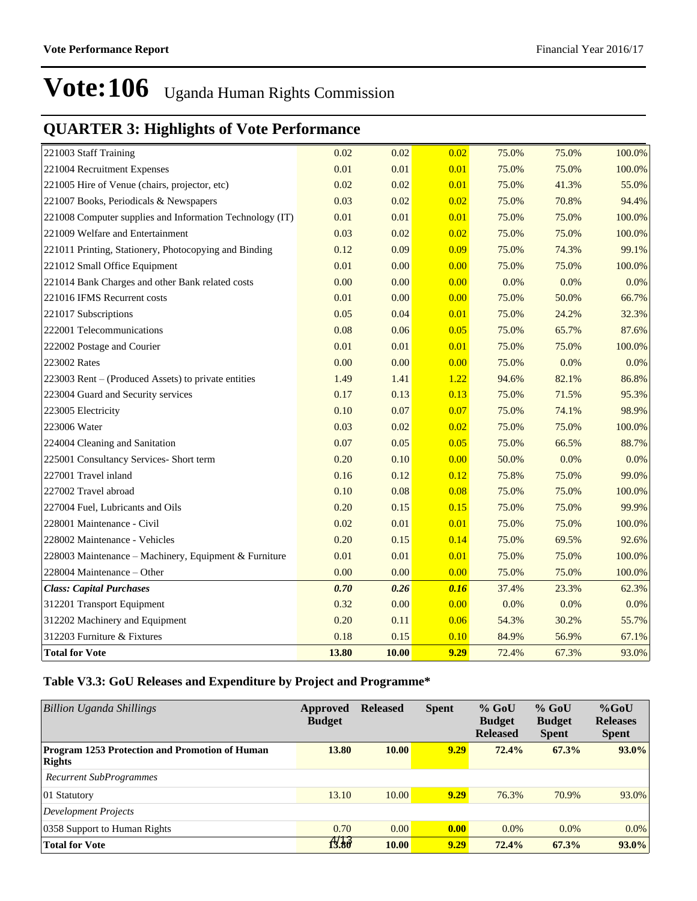## **QUARTER 3: Highlights of Vote Performance**

| 221003 Staff Training                                    | 0.02  | 0.02  | 0.02 | 75.0% | 75.0% | 100.0% |
|----------------------------------------------------------|-------|-------|------|-------|-------|--------|
| 221004 Recruitment Expenses                              | 0.01  | 0.01  | 0.01 | 75.0% | 75.0% | 100.0% |
| 221005 Hire of Venue (chairs, projector, etc)            | 0.02  | 0.02  | 0.01 | 75.0% | 41.3% | 55.0%  |
| 221007 Books, Periodicals & Newspapers                   | 0.03  | 0.02  | 0.02 | 75.0% | 70.8% | 94.4%  |
| 221008 Computer supplies and Information Technology (IT) | 0.01  | 0.01  | 0.01 | 75.0% | 75.0% | 100.0% |
| 221009 Welfare and Entertainment                         | 0.03  | 0.02  | 0.02 | 75.0% | 75.0% | 100.0% |
| 221011 Printing, Stationery, Photocopying and Binding    | 0.12  | 0.09  | 0.09 | 75.0% | 74.3% | 99.1%  |
| 221012 Small Office Equipment                            | 0.01  | 0.00  | 0.00 | 75.0% | 75.0% | 100.0% |
| 221014 Bank Charges and other Bank related costs         | 0.00  | 0.00  | 0.00 | 0.0%  | 0.0%  | 0.0%   |
| 221016 IFMS Recurrent costs                              | 0.01  | 0.00  | 0.00 | 75.0% | 50.0% | 66.7%  |
| 221017 Subscriptions                                     | 0.05  | 0.04  | 0.01 | 75.0% | 24.2% | 32.3%  |
| 222001 Telecommunications                                | 0.08  | 0.06  | 0.05 | 75.0% | 65.7% | 87.6%  |
| 222002 Postage and Courier                               | 0.01  | 0.01  | 0.01 | 75.0% | 75.0% | 100.0% |
| 223002 Rates                                             | 0.00  | 0.00  | 0.00 | 75.0% | 0.0%  | 0.0%   |
| 223003 Rent - (Produced Assets) to private entities      | 1.49  | 1.41  | 1.22 | 94.6% | 82.1% | 86.8%  |
| 223004 Guard and Security services                       | 0.17  | 0.13  | 0.13 | 75.0% | 71.5% | 95.3%  |
| 223005 Electricity                                       | 0.10  | 0.07  | 0.07 | 75.0% | 74.1% | 98.9%  |
| 223006 Water                                             | 0.03  | 0.02  | 0.02 | 75.0% | 75.0% | 100.0% |
| 224004 Cleaning and Sanitation                           | 0.07  | 0.05  | 0.05 | 75.0% | 66.5% | 88.7%  |
| 225001 Consultancy Services- Short term                  | 0.20  | 0.10  | 0.00 | 50.0% | 0.0%  | 0.0%   |
| 227001 Travel inland                                     | 0.16  | 0.12  | 0.12 | 75.8% | 75.0% | 99.0%  |
| 227002 Travel abroad                                     | 0.10  | 0.08  | 0.08 | 75.0% | 75.0% | 100.0% |
| 227004 Fuel, Lubricants and Oils                         | 0.20  | 0.15  | 0.15 | 75.0% | 75.0% | 99.9%  |
| 228001 Maintenance - Civil                               | 0.02  | 0.01  | 0.01 | 75.0% | 75.0% | 100.0% |
| 228002 Maintenance - Vehicles                            | 0.20  | 0.15  | 0.14 | 75.0% | 69.5% | 92.6%  |
| 228003 Maintenance - Machinery, Equipment & Furniture    | 0.01  | 0.01  | 0.01 | 75.0% | 75.0% | 100.0% |
| 228004 Maintenance - Other                               | 0.00  | 0.00  | 0.00 | 75.0% | 75.0% | 100.0% |
| <b>Class: Capital Purchases</b>                          | 0.70  | 0.26  | 0.16 | 37.4% | 23.3% | 62.3%  |
| 312201 Transport Equipment                               | 0.32  | 0.00  | 0.00 | 0.0%  | 0.0%  | 0.0%   |
| 312202 Machinery and Equipment                           | 0.20  | 0.11  | 0.06 | 54.3% | 30.2% | 55.7%  |
| 312203 Furniture & Fixtures                              | 0.18  | 0.15  | 0.10 | 84.9% | 56.9% | 67.1%  |
| <b>Total for Vote</b>                                    | 13.80 | 10.00 | 9.29 | 72.4% | 67.3% | 93.0%  |

#### **Table V3.3: GoU Releases and Expenditure by Project and Programme\***

| Billion Uganda Shillings                                        | Approved<br><b>Budget</b> | <b>Released</b> | <b>Spent</b> | $%$ GoU<br><b>Budget</b><br><b>Released</b> | $%$ GoU<br><b>Budget</b><br><b>Spent</b> | $%$ GoU<br><b>Releases</b><br><b>Spent</b> |
|-----------------------------------------------------------------|---------------------------|-----------------|--------------|---------------------------------------------|------------------------------------------|--------------------------------------------|
| <b>Program 1253 Protection and Promotion of Human</b><br>Rights | 13.80                     | 10.00           | 9.29         | 72.4%                                       | 67.3%                                    | $93.0\%$                                   |
| <b>Recurrent SubProgrammes</b>                                  |                           |                 |              |                                             |                                          |                                            |
| 01 Statutory                                                    | 13.10                     | 10.00           | 9.29         | 76.3%                                       | 70.9%                                    | 93.0%                                      |
| Development Projects                                            |                           |                 |              |                                             |                                          |                                            |
| 0358 Support to Human Rights                                    | 0.70                      | 0.00            | 0.00         | 0.0%                                        | $0.0\%$                                  | $0.0\%$                                    |
| <b>Total for Vote</b>                                           | f3.80                     | 10.00           | 9.29         | 72.4%                                       | 67.3%                                    | $93.0\%$                                   |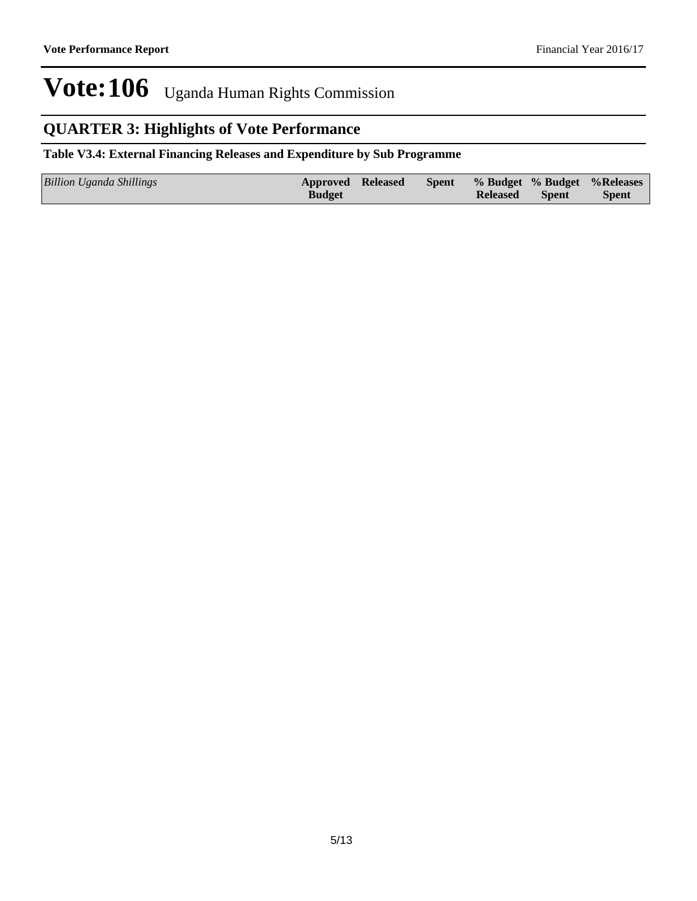### **QUARTER 3: Highlights of Vote Performance**

#### **Table V3.4: External Financing Releases and Expenditure by Sub Programme**

| Billion Uganda Shillings | <b>Approved Released</b> |  |                 |              | Spent % Budget % Budget % Releases |
|--------------------------|--------------------------|--|-----------------|--------------|------------------------------------|
|                          | <b>Budget</b>            |  | <b>Released</b> | <b>Spent</b> | <b>Spent</b>                       |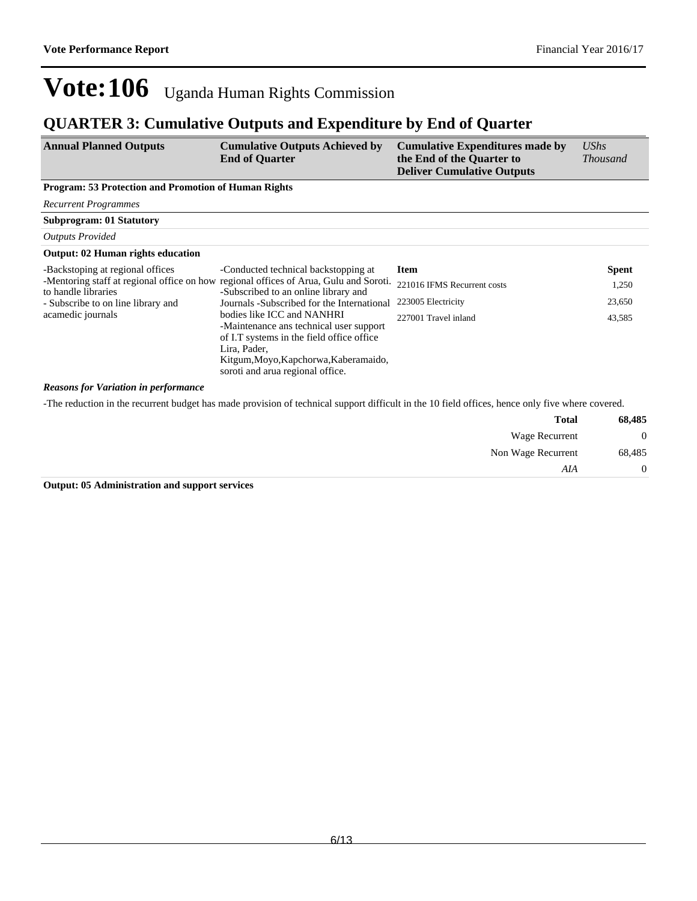### **QUARTER 3: Cumulative Outputs and Expenditure by End of Quarter**

| <b>Annual Planned Outputs</b> | <b>Cumulative Outputs Achieved by</b><br><b>End of Quarter</b> | Cumulative Expenditures made by<br>the End of the Quarter to<br><b>Deliver Cumulative Outputs</b> | UShs<br><b>Thousand</b> |
|-------------------------------|----------------------------------------------------------------|---------------------------------------------------------------------------------------------------|-------------------------|
|                               |                                                                |                                                                                                   |                         |

#### **Program: 53 Protection and Promotion of Human Rights**

*Recurrent Programmes*

**Subprogram: 01 Statutory**

*Outputs Provided*

#### **Output: 02 Human rights education**

| -Backstoping at regional offices                          | -Conducted technical backstopping at                                                  | Item                        | <b>Spent</b> |
|-----------------------------------------------------------|---------------------------------------------------------------------------------------|-----------------------------|--------------|
|                                                           | -Mentoring staff at regional office on how regional offices of Arua, Gulu and Soroti. | 221016 IFMS Recurrent costs | 1,250        |
| to handle libraries<br>- Subscribe to on line library and | -Subscribed to an online library and<br>Journals -Subscribed for the International    | 223005 Electricity          | 23,650       |
| acamedic journals                                         | bodies like ICC and NANHRI                                                            | 227001 Travel inland        | 43,585       |
|                                                           | -Maintenance ans technical user support                                               |                             |              |
|                                                           | of I.T systems in the field office office.<br>Lira, Pader,                            |                             |              |
|                                                           | Kitgum, Moyo, Kapchorwa, Kaberamaido,                                                 |                             |              |
|                                                           | soroti and arua regional office.                                                      |                             |              |

#### *Reasons for Variation in performance*

-The reduction in the recurrent budget has made provision of technical support difficult in the 10 field offices, hence only five where covered.

| 68,485         | <b>Total</b>          |
|----------------|-----------------------|
| $\overline{0}$ | <b>Wage Recurrent</b> |
| 68,485         | Non Wage Recurrent    |
| $\overline{0}$ | AIA                   |

**Output: 05 Administration and support services**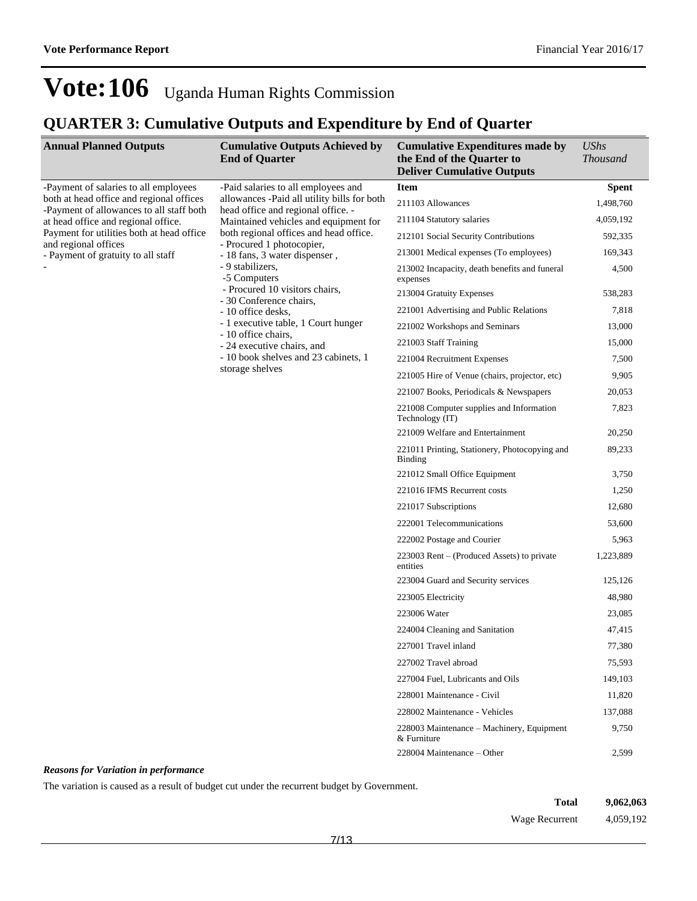## **QUARTER 3: Cumulative Outputs and Expenditure by End of Quarter**

| <b>Annual Planned Outputs</b>                                                        | <b>Cumulative Outputs Achieved by</b><br><b>End of Quarter</b>                    | <b>Cumulative Expenditures made by</b><br>the End of the Quarter to<br><b>Deliver Cumulative Outputs</b> | <b>UShs</b><br><b>Thousand</b> |
|--------------------------------------------------------------------------------------|-----------------------------------------------------------------------------------|----------------------------------------------------------------------------------------------------------|--------------------------------|
| -Payment of salaries to all employees                                                | -Paid salaries to all employees and                                               | <b>Item</b>                                                                                              | <b>Spent</b>                   |
| both at head office and regional offices<br>-Payment of allowances to all staff both | allowances -Paid all utility bills for both<br>head office and regional office. - | 211103 Allowances                                                                                        | 1,498,760                      |
| at head office and regional office.                                                  | Maintained vehicles and equipment for                                             | 211104 Statutory salaries                                                                                | 4,059,192                      |
| Payment for utilities both at head office                                            | both regional offices and head office.<br>- Procured 1 photocopier,               | 212101 Social Security Contributions                                                                     | 592,335                        |
| and regional offices<br>- Payment of gratuity to all staff                           | - 18 fans, 3 water dispenser,                                                     | 213001 Medical expenses (To employees)                                                                   | 169,343                        |
|                                                                                      | - 9 stabilizers,<br>-5 Computers                                                  | 213002 Incapacity, death benefits and funeral<br>expenses                                                | 4,500                          |
|                                                                                      | - Procured 10 visitors chairs,<br>- 30 Conference chairs.                         | 213004 Gratuity Expenses                                                                                 | 538,283                        |
|                                                                                      | - 10 office desks,                                                                | 221001 Advertising and Public Relations                                                                  | 7,818                          |
|                                                                                      | - 1 executive table, 1 Court hunger<br>- 10 office chairs,                        | 221002 Workshops and Seminars                                                                            | 13,000                         |
|                                                                                      | - 24 executive chairs, and                                                        | 221003 Staff Training                                                                                    | 15,000                         |
|                                                                                      | - 10 book shelves and 23 cabinets, 1                                              | 221004 Recruitment Expenses                                                                              | 7,500                          |
|                                                                                      | storage shelves                                                                   | 221005 Hire of Venue (chairs, projector, etc)                                                            | 9,905                          |
|                                                                                      |                                                                                   | 221007 Books, Periodicals & Newspapers                                                                   | 20,053                         |
|                                                                                      |                                                                                   | 221008 Computer supplies and Information<br>Technology (IT)                                              | 7,823                          |
|                                                                                      |                                                                                   | 221009 Welfare and Entertainment                                                                         | 20,250                         |
|                                                                                      |                                                                                   | 221011 Printing, Stationery, Photocopying and<br><b>Binding</b>                                          | 89,233                         |
|                                                                                      |                                                                                   | 221012 Small Office Equipment                                                                            | 3,750                          |
|                                                                                      |                                                                                   | 221016 IFMS Recurrent costs                                                                              | 1,250                          |
|                                                                                      |                                                                                   | 221017 Subscriptions                                                                                     | 12,680                         |
|                                                                                      |                                                                                   | 222001 Telecommunications                                                                                | 53,600                         |
|                                                                                      |                                                                                   | 222002 Postage and Courier                                                                               | 5,963                          |
|                                                                                      |                                                                                   | 223003 Rent – (Produced Assets) to private<br>entities                                                   | 1,223,889                      |
|                                                                                      |                                                                                   | 223004 Guard and Security services                                                                       | 125,126                        |
|                                                                                      |                                                                                   | 223005 Electricity                                                                                       | 48,980                         |
|                                                                                      |                                                                                   | 223006 Water                                                                                             | 23,085                         |
|                                                                                      |                                                                                   | 224004 Cleaning and Sanitation                                                                           | 47,415                         |
|                                                                                      |                                                                                   | 227001 Travel inland                                                                                     | 77,380                         |
|                                                                                      |                                                                                   | 227002 Travel abroad                                                                                     | 75,593                         |
|                                                                                      |                                                                                   | 227004 Fuel, Lubricants and Oils                                                                         | 149,103                        |
|                                                                                      |                                                                                   | 228001 Maintenance - Civil                                                                               | 11,820                         |
|                                                                                      |                                                                                   | 228002 Maintenance - Vehicles                                                                            | 137,088                        |
|                                                                                      |                                                                                   | 228003 Maintenance – Machinery, Equipment<br>& Furniture                                                 | 9,750                          |
|                                                                                      |                                                                                   | 228004 Maintenance – Other                                                                               | 2,599                          |

#### *Reasons for Variation in performance*

The variation is caused as a result of budget cut under the recurrent budget by Government.

| Total          | 9,062,063 |
|----------------|-----------|
| Wage Recurrent | 4,059,192 |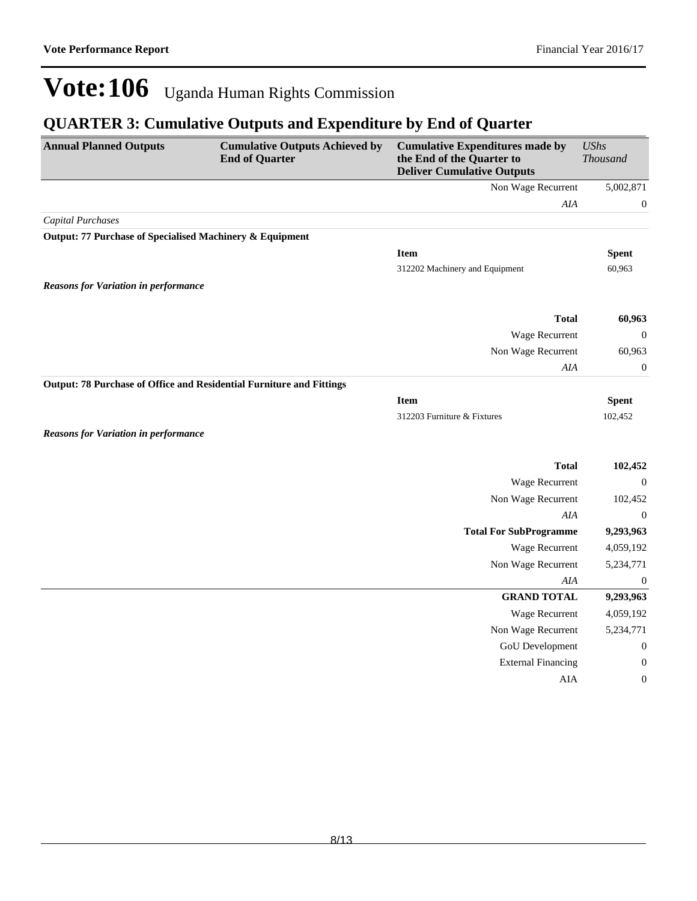## **QUARTER 3: Cumulative Outputs and Expenditure by End of Quarter**

| <b>Annual Planned Outputs</b>                                        | <b>Cumulative Outputs Achieved by</b><br><b>End of Quarter</b> | <b>Cumulative Expenditures made by</b><br>the End of the Quarter to<br><b>Deliver Cumulative Outputs</b> | <b>UShs</b><br><b>Thousand</b> |
|----------------------------------------------------------------------|----------------------------------------------------------------|----------------------------------------------------------------------------------------------------------|--------------------------------|
|                                                                      |                                                                | Non Wage Recurrent                                                                                       | 5,002,871                      |
|                                                                      |                                                                | $A I\!A$                                                                                                 | $\boldsymbol{0}$               |
| <b>Capital Purchases</b>                                             |                                                                |                                                                                                          |                                |
| Output: 77 Purchase of Specialised Machinery & Equipment             |                                                                |                                                                                                          |                                |
|                                                                      |                                                                | <b>Item</b>                                                                                              | <b>Spent</b>                   |
|                                                                      |                                                                | 312202 Machinery and Equipment                                                                           | 60,963                         |
| <b>Reasons for Variation in performance</b>                          |                                                                |                                                                                                          |                                |
|                                                                      |                                                                |                                                                                                          |                                |
|                                                                      |                                                                | <b>Total</b>                                                                                             | 60,963                         |
|                                                                      |                                                                | Wage Recurrent                                                                                           | $\boldsymbol{0}$               |
|                                                                      |                                                                | Non Wage Recurrent                                                                                       | 60,963                         |
|                                                                      |                                                                | AIA                                                                                                      | $\boldsymbol{0}$               |
| Output: 78 Purchase of Office and Residential Furniture and Fittings |                                                                |                                                                                                          |                                |
|                                                                      |                                                                | <b>Item</b>                                                                                              | <b>Spent</b>                   |
|                                                                      |                                                                | 312203 Furniture & Fixtures                                                                              | 102,452                        |
| <b>Reasons for Variation in performance</b>                          |                                                                |                                                                                                          |                                |
|                                                                      |                                                                | <b>Total</b>                                                                                             | 102,452                        |
|                                                                      |                                                                | Wage Recurrent                                                                                           | $\boldsymbol{0}$               |
|                                                                      |                                                                | Non Wage Recurrent                                                                                       | 102,452                        |
|                                                                      |                                                                | AIA                                                                                                      | $\boldsymbol{0}$               |
|                                                                      |                                                                | <b>Total For SubProgramme</b>                                                                            | 9,293,963                      |
|                                                                      |                                                                | Wage Recurrent                                                                                           | 4,059,192                      |
|                                                                      |                                                                | Non Wage Recurrent                                                                                       | 5,234,771                      |
|                                                                      |                                                                | AIA                                                                                                      | $\boldsymbol{0}$               |
|                                                                      |                                                                | <b>GRAND TOTAL</b>                                                                                       | 9,293,963                      |
|                                                                      |                                                                | Wage Recurrent                                                                                           | 4,059,192                      |
|                                                                      |                                                                | Non Wage Recurrent                                                                                       | 5,234,771                      |
|                                                                      |                                                                | GoU Development                                                                                          | $\boldsymbol{0}$               |
|                                                                      |                                                                | <b>External Financing</b>                                                                                | $\boldsymbol{0}$               |
|                                                                      |                                                                | AIA                                                                                                      | $\boldsymbol{0}$               |
|                                                                      |                                                                |                                                                                                          |                                |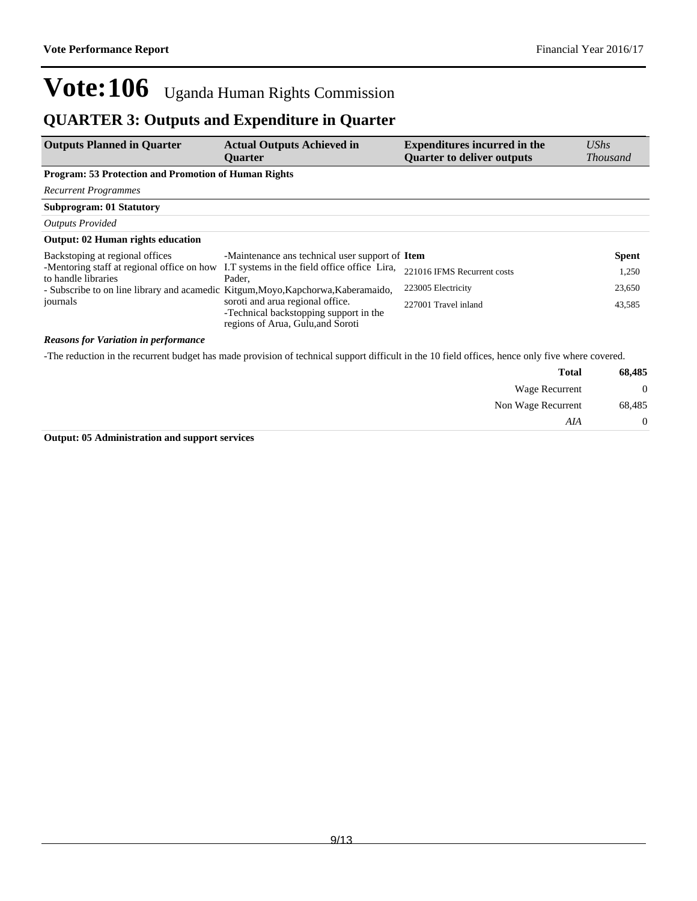### **QUARTER 3: Outputs and Expenditure in Quarter**

| <b>Outputs Planned in Quarter</b>                                                                              | <b>Actual Outputs Achieved in</b><br><b>Ouarter</b>                                                             | <b>Expenditures incurred in the</b><br><b>Quarter to deliver outputs</b> | UShs<br><b>Thousand</b> |
|----------------------------------------------------------------------------------------------------------------|-----------------------------------------------------------------------------------------------------------------|--------------------------------------------------------------------------|-------------------------|
| <b>Program: 53 Protection and Promotion of Human Rights</b>                                                    |                                                                                                                 |                                                                          |                         |
| <b>Recurrent Programmes</b>                                                                                    |                                                                                                                 |                                                                          |                         |
| <b>Subprogram: 01 Statutory</b>                                                                                |                                                                                                                 |                                                                          |                         |
| <b>Outputs Provided</b>                                                                                        |                                                                                                                 |                                                                          |                         |
| <b>Output: 02 Human rights education</b>                                                                       |                                                                                                                 |                                                                          |                         |
| Backstoping at regional offices                                                                                | -Maintenance ans technical user support of Item                                                                 |                                                                          | <b>Spent</b>            |
| -Mentoring staff at regional office on how I.T systems in the field office office Lira,<br>to handle libraries | Pader.                                                                                                          | 221016 IFMS Recurrent costs                                              | 1,250                   |
| - Subscribe to on line library and acamedic Kitgum, Moyo, Kapchorwa, Kaberamaido,                              |                                                                                                                 | 223005 Electricity                                                       | 23,650                  |
| journals                                                                                                       | soroti and arua regional office.<br>-Technical backstopping support in the<br>regions of Arua, Gulu, and Soroti | 227001 Travel inland                                                     | 43,585                  |

#### *Reasons for Variation in performance*

-The reduction in the recurrent budget has made provision of technical support difficult in the 10 field offices, hence only five where covered.

| 68,485         | <b>Total</b>       |
|----------------|--------------------|
| $\overline{0}$ | Wage Recurrent     |
| 68,485         | Non Wage Recurrent |
| 0              | AIA                |

**Output: 05 Administration and support services**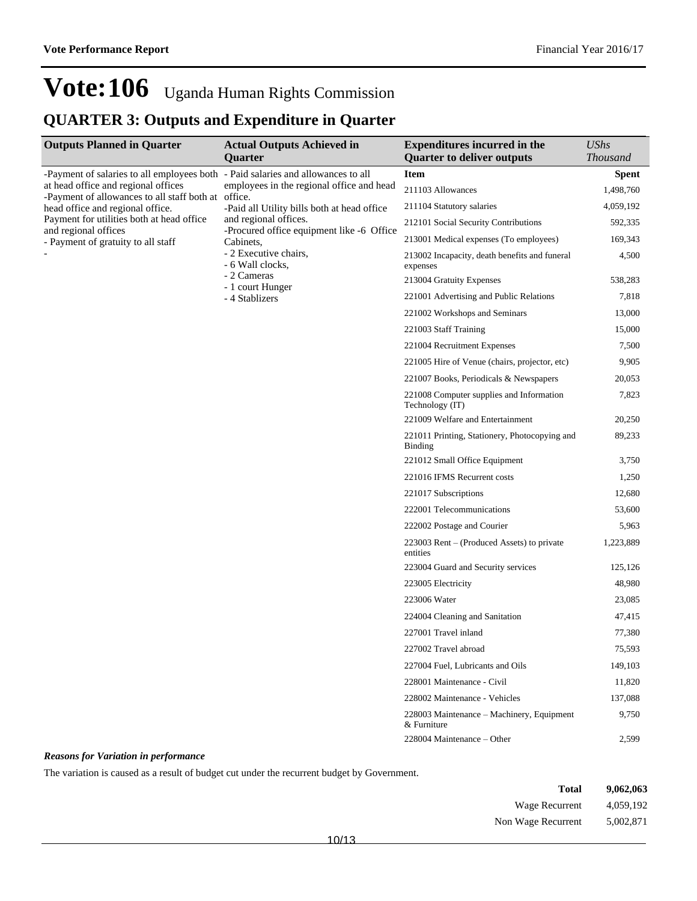## **QUARTER 3: Outputs and Expenditure in Quarter**

| <b>Outputs Planned in Quarter</b>                                                       | <b>Actual Outputs Achieved in</b><br>Quarter           | <b>Expenditures incurred in the</b><br><b>Quarter to deliver outputs</b> | <b>UShs</b><br><b>Thousand</b> |
|-----------------------------------------------------------------------------------------|--------------------------------------------------------|--------------------------------------------------------------------------|--------------------------------|
| -Payment of salaries to all employees both - Paid salaries and allowances to all        |                                                        | <b>Item</b>                                                              | <b>Spent</b>                   |
| at head office and regional offices                                                     | employees in the regional office and head              | 211103 Allowances                                                        | 1,498,760                      |
| -Payment of allowances to all staff both at office.<br>head office and regional office. | -Paid all Utility bills both at head office            | 211104 Statutory salaries                                                | 4,059,192                      |
| Payment for utilities both at head office.                                              | and regional offices.                                  | 212101 Social Security Contributions                                     | 592,335                        |
| and regional offices<br>- Payment of gratuity to all staff                              | -Procured office equipment like -6 Office<br>Cabinets, | 213001 Medical expenses (To employees)                                   | 169,343                        |
|                                                                                         | - 2 Executive chairs,<br>- 6 Wall clocks,              | 213002 Incapacity, death benefits and funeral<br>expenses                | 4,500                          |
|                                                                                         | - 2 Cameras                                            | 213004 Gratuity Expenses                                                 | 538,283                        |
|                                                                                         | - 1 court Hunger<br>- 4 Stablizers                     | 221001 Advertising and Public Relations                                  | 7,818                          |
|                                                                                         |                                                        | 221002 Workshops and Seminars                                            | 13,000                         |
|                                                                                         |                                                        | 221003 Staff Training                                                    | 15,000                         |
|                                                                                         |                                                        | 221004 Recruitment Expenses                                              | 7,500                          |
|                                                                                         |                                                        | 221005 Hire of Venue (chairs, projector, etc)                            | 9,905                          |
|                                                                                         |                                                        | 221007 Books, Periodicals & Newspapers                                   | 20,053                         |
|                                                                                         |                                                        | 221008 Computer supplies and Information<br>Technology (IT)              | 7,823                          |
|                                                                                         |                                                        | 221009 Welfare and Entertainment                                         | 20,250                         |
|                                                                                         |                                                        | 221011 Printing, Stationery, Photocopying and<br>Binding                 | 89,233                         |
|                                                                                         |                                                        | 221012 Small Office Equipment                                            | 3,750                          |
|                                                                                         |                                                        | 221016 IFMS Recurrent costs                                              | 1,250                          |
|                                                                                         |                                                        | 221017 Subscriptions                                                     | 12,680                         |
|                                                                                         |                                                        | 222001 Telecommunications                                                | 53,600                         |
|                                                                                         |                                                        | 222002 Postage and Courier                                               | 5,963                          |
|                                                                                         |                                                        | 223003 Rent – (Produced Assets) to private<br>entities                   | 1,223,889                      |
|                                                                                         |                                                        | 223004 Guard and Security services                                       | 125,126                        |
|                                                                                         |                                                        | 223005 Electricity                                                       | 48,980                         |
|                                                                                         |                                                        | 223006 Water                                                             | 23,085                         |
|                                                                                         |                                                        | 224004 Cleaning and Sanitation                                           | 47,415                         |
|                                                                                         |                                                        | 227001 Travel inland                                                     | 77,380                         |
|                                                                                         |                                                        | 227002 Travel abroad                                                     | 75,593                         |
|                                                                                         |                                                        | 227004 Fuel, Lubricants and Oils                                         | 149,103                        |
|                                                                                         |                                                        | 228001 Maintenance - Civil                                               | 11,820                         |
|                                                                                         |                                                        | 228002 Maintenance - Vehicles                                            | 137,088                        |
|                                                                                         |                                                        | 228003 Maintenance – Machinery, Equipment<br>& Furniture                 | 9,750                          |
|                                                                                         |                                                        | 228004 Maintenance – Other                                               | 2,599                          |

#### *Reasons for Variation in performance*

The variation is caused as a result of budget cut under the recurrent budget by Government.

| 9,062,063 |
|-----------|
| 4,059,192 |
| 5.002.871 |
|           |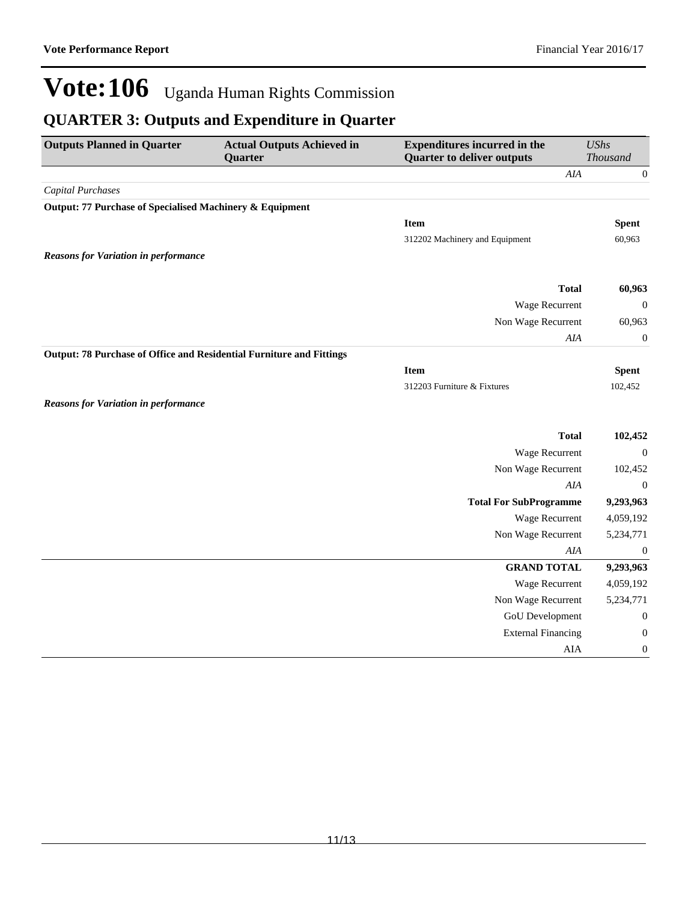## **QUARTER 3: Outputs and Expenditure in Quarter**

| <b>Expenditures incurred in the</b><br><b>Outputs Planned in Quarter</b><br><b>Actual Outputs Achieved in</b><br><b>Quarter to deliver outputs</b><br>Quarter |  | <b>UShs</b><br>Thousand        |                  |
|---------------------------------------------------------------------------------------------------------------------------------------------------------------|--|--------------------------------|------------------|
|                                                                                                                                                               |  | AIA                            | $\boldsymbol{0}$ |
| <b>Capital Purchases</b>                                                                                                                                      |  |                                |                  |
| Output: 77 Purchase of Specialised Machinery & Equipment                                                                                                      |  |                                |                  |
|                                                                                                                                                               |  | <b>Item</b>                    | <b>Spent</b>     |
|                                                                                                                                                               |  | 312202 Machinery and Equipment | 60,963           |
| <b>Reasons for Variation in performance</b>                                                                                                                   |  |                                |                  |
|                                                                                                                                                               |  |                                |                  |
|                                                                                                                                                               |  | <b>Total</b>                   | 60,963           |
|                                                                                                                                                               |  | Wage Recurrent                 | $\mathbf{0}$     |
|                                                                                                                                                               |  | Non Wage Recurrent             | 60,963           |
|                                                                                                                                                               |  | $A I\!A$                       | $\boldsymbol{0}$ |
| Output: 78 Purchase of Office and Residential Furniture and Fittings                                                                                          |  |                                |                  |
|                                                                                                                                                               |  | <b>Item</b>                    | <b>Spent</b>     |
|                                                                                                                                                               |  | 312203 Furniture & Fixtures    | 102,452          |
| <b>Reasons for Variation in performance</b>                                                                                                                   |  |                                |                  |
|                                                                                                                                                               |  | <b>Total</b>                   | 102,452          |
|                                                                                                                                                               |  | Wage Recurrent                 | $\boldsymbol{0}$ |
|                                                                                                                                                               |  | Non Wage Recurrent             | 102,452          |
|                                                                                                                                                               |  | AIA                            | $\boldsymbol{0}$ |
|                                                                                                                                                               |  | <b>Total For SubProgramme</b>  | 9,293,963        |
|                                                                                                                                                               |  | Wage Recurrent                 | 4,059,192        |
|                                                                                                                                                               |  | Non Wage Recurrent             | 5,234,771        |
|                                                                                                                                                               |  | AIA                            | $\boldsymbol{0}$ |
|                                                                                                                                                               |  | <b>GRAND TOTAL</b>             | 9,293,963        |
|                                                                                                                                                               |  | Wage Recurrent                 | 4,059,192        |
|                                                                                                                                                               |  | Non Wage Recurrent             | 5,234,771        |
|                                                                                                                                                               |  | GoU Development                | $\boldsymbol{0}$ |
|                                                                                                                                                               |  | <b>External Financing</b>      | $\boldsymbol{0}$ |
|                                                                                                                                                               |  | AIA                            | $\boldsymbol{0}$ |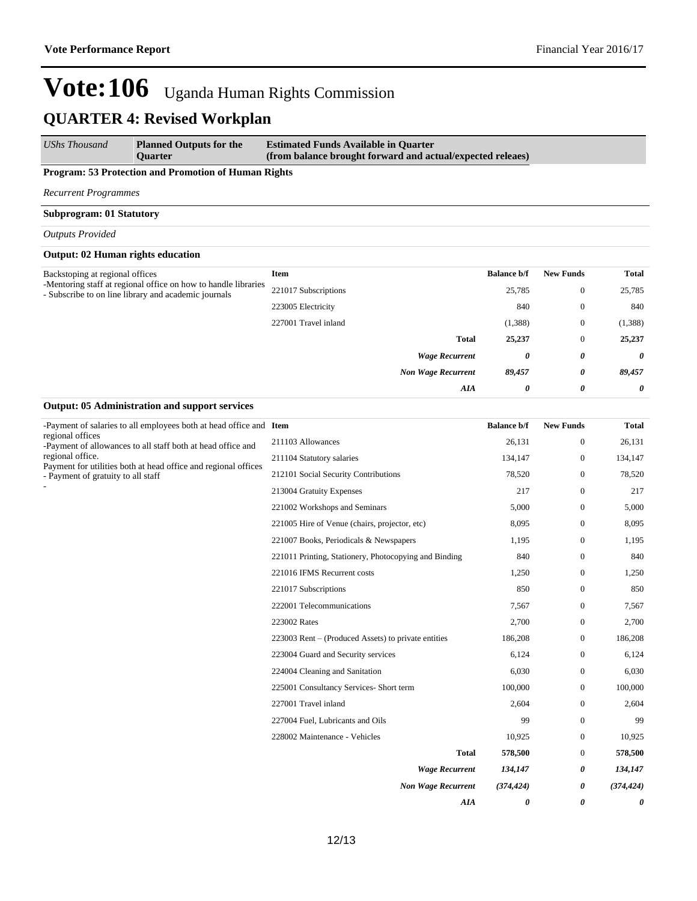*AIA 0 0 0*

## **Vote:106** Uganda Human Rights Commission **QUARTER 4: Revised Workplan**

*UShs Thousand* **Planned Outputs for the Quarter Estimated Funds Available in Quarter (from balance brought forward and actual/expected releaes)**

#### **Program: 53 Protection and Promotion of Human Rights**

*Recurrent Programmes*

#### **Subprogram: 01 Statutory**

#### *Outputs Provided*

#### **Output: 02 Human rights education**

| Backstoping at regional offices                                                                                        | <b>Item</b>          |                           | <b>Balance b/f</b> | <b>New Funds</b> | <b>Total</b> |
|------------------------------------------------------------------------------------------------------------------------|----------------------|---------------------------|--------------------|------------------|--------------|
| -Mentoring staff at regional office on how to handle libraries<br>- Subscribe to on line library and academic journals | 221017 Subscriptions |                           | 25,785             | $\mathbf{0}$     | 25,785       |
|                                                                                                                        | 223005 Electricity   |                           | 840                | $\mathbf{0}$     | 840          |
|                                                                                                                        | 227001 Travel inland |                           | (1,388)            | $\mathbf{0}$     | (1,388)      |
|                                                                                                                        |                      | <b>Total</b>              | 25,237             | $\overline{0}$   | 25,237       |
|                                                                                                                        |                      | <b>Wage Recurrent</b>     | 0                  | 0                | $\theta$     |
|                                                                                                                        |                      | <b>Non Wage Recurrent</b> | 89,457             | 0                | 89,457       |
|                                                                                                                        |                      | AIA                       | 0                  | 0                | 0            |
|                                                                                                                        |                      |                           |                    |                  |              |

#### **Output: 05 Administration and support services**

| -Payment of salaries to all employees both at head office and Item                                   |                                                       | <b>Balance b/f</b> | <b>New Funds</b> | <b>Total</b> |
|------------------------------------------------------------------------------------------------------|-------------------------------------------------------|--------------------|------------------|--------------|
| regional offices<br>-Payment of allowances to all staff both at head office and<br>regional office.  | 211103 Allowances                                     | 26,131             | $\boldsymbol{0}$ | 26,131       |
|                                                                                                      | 211104 Statutory salaries                             | 134,147            | $\boldsymbol{0}$ | 134,147      |
| Payment for utilities both at head office and regional offices<br>- Payment of gratuity to all staff | 212101 Social Security Contributions                  | 78,520             | $\mathbf{0}$     | 78,520       |
|                                                                                                      | 213004 Gratuity Expenses                              | 217                | $\boldsymbol{0}$ | 217          |
|                                                                                                      | 221002 Workshops and Seminars                         | 5,000              | $\boldsymbol{0}$ | 5,000        |
|                                                                                                      | 221005 Hire of Venue (chairs, projector, etc)         | 8,095              | $\mathbf{0}$     | 8,095        |
|                                                                                                      | 221007 Books, Periodicals & Newspapers                | 1,195              | $\boldsymbol{0}$ | 1,195        |
|                                                                                                      | 221011 Printing, Stationery, Photocopying and Binding | 840                | $\mathbf{0}$     | 840          |
|                                                                                                      | 221016 IFMS Recurrent costs                           | 1,250              | $\boldsymbol{0}$ | 1,250        |
|                                                                                                      | 221017 Subscriptions                                  | 850                | $\mathbf{0}$     | 850          |
|                                                                                                      | 222001 Telecommunications                             | 7,567              | $\mathbf{0}$     | 7,567        |
|                                                                                                      | 223002 Rates                                          | 2,700              | $\boldsymbol{0}$ | 2,700        |
|                                                                                                      | 223003 Rent – (Produced Assets) to private entities   | 186,208            | $\mathbf{0}$     | 186,208      |
|                                                                                                      | 223004 Guard and Security services                    | 6,124              | $\mathbf{0}$     | 6,124        |
|                                                                                                      | 224004 Cleaning and Sanitation                        | 6,030              | $\mathbf{0}$     | 6,030        |
|                                                                                                      | 225001 Consultancy Services- Short term               | 100,000            | $\mathbf{0}$     | 100,000      |
|                                                                                                      | 227001 Travel inland                                  | 2,604              | $\mathbf{0}$     | 2,604        |
|                                                                                                      | 227004 Fuel, Lubricants and Oils                      | 99                 | $\mathbf{0}$     | 99           |
|                                                                                                      | 228002 Maintenance - Vehicles                         | 10,925             | $\mathbf{0}$     | 10,925       |
|                                                                                                      | <b>Total</b>                                          | 578,500            | $\mathbf{0}$     | 578,500      |
|                                                                                                      | <b>Wage Recurrent</b>                                 | 134,147            | 0                | 134,147      |
|                                                                                                      | <b>Non Wage Recurrent</b>                             | (374, 424)         | 0                | (374, 424)   |

12/13